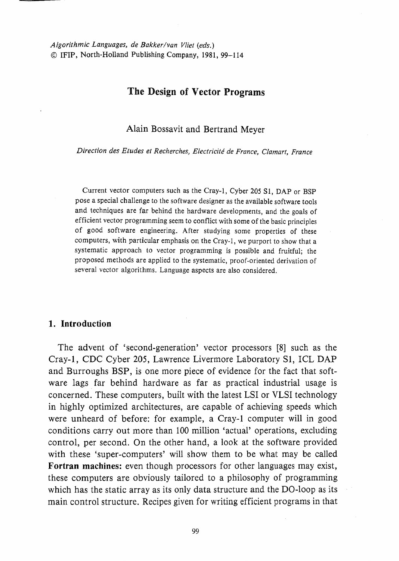# The Design of Vector Programs

Alain Bossavit and Bertrand Meyer

*Direction des Etudes et Recherches, Electricite de France, Clamar!, France* 

Current vector computers such as the Cray-1, Cyber 205 S1, DAP or BSP pose a special challenge to the software designer as the available software tools and techniques are far behind the hardware developments, and the goals of efficient vector programming seem to conflict with some of the basic principles of good software engineering. After studying some properties of these computers, with particular emphasis on the Cray-l, we purport to show that a systematic approach to vector programming is possible and fruitful; the proposed methods are applied to the systematic, proof-oriented derivation of several vector algorithms. Language aspects are also considered.

#### **1. Introduction**

The advent of 'second-generation' vector processors [8] such as the Cray-l, CDC Cyber 205, Lawrence Livermore Laboratory SI, ICL DAP and Burroughs BSP, is one more piece of evidence for the fact that software lags far behind hardware as far as practical industrial usage is concerned. These computers, built with the latest LSI or VLSI technology in highly optimized architectures, are capable of achieving speeds which were unheard of before: for example, a Cray-l computer will in good conditions carry out more than 100 million 'actual' operations, excluding control, per second. On the other hand, a look at the software provided with these 'super-computers' will show them to be what may be called **Fortran machines:** even though processors for other languages may exist, these computers are obviously tailored to a philosophy of programming which has the static array as its only data structure and the DO-loop as its main control structure. Recipes given for writing efficient programs in that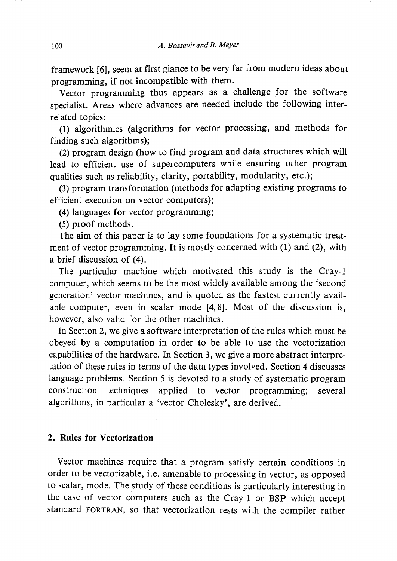framework [6], seem at first glance to be very far from modern ideas about programming, if not incompatible with them.

Vector programming thus appears as a challenge for the software specialist. Areas where advances are needed include the following interrelated topics:

(1) algorithmics (algorithms for vector processing, and methods for finding such algorithms);

(2) program design (how to find program and data structures which will lead to efficient use of supercomputers while ensuring other program qualities such as reliability, clarity, portability, modularity, etc.);

(3) program transformation (methods for adapting existing programs to efficient execution on vector computers);

(4) languages for vector programming;

(5) proof methods.

The aim of this paper is to lay some foundations for a systematic treatment of vector programming. It is mostly concerned with (1) and (2), with a brief discussion of (4).

The particular machine which motivated this study is the Cray-l computer, which seems to be the most widely available among the 'second generation' vector machines, and is quoted as the fastest currently available computer, even in scalar mode [4,8]. Most of the discussion is, however, also valid for the other machines.

In Section 2, we give a software interpretation of the rules which must be obeyed by a computation in order to be able to use the vectorization capabilities of the hardware. In Section 3, we give a more abstract interpretation of these rules in terms of the data types involved. Section 4 discusses language problems. Section 5 is devoted to a study of systematic program construction techniques applied to vector programming; several algorithms, in particular a 'vector Cholesky', are derived.

### 2. Rules for Vectorization

Vector machines require that a program satisfy certain conditions in order to be vectorizable, i.e. amenable to processing in vector, as opposed to scalar, mode. The study of these conditions is particularly interesting in the case of vector computers such as the Cray-l or BSP which accept standard FORTRAN, so that vectorization rests with the compiler rather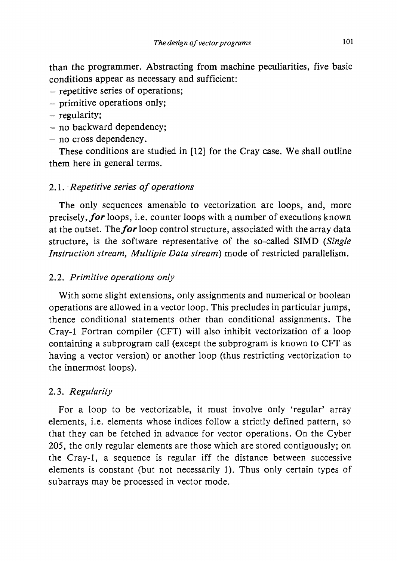than the programmer. Abstracting from machine peculiarities, five basic conditions appear as necessary and sufficient:

- repetitive series of operations;
- primitive operations only;
- regularity;
- no backward dependency;
- no cross dependency.

These conditions are studied in [12] for the Cray case. We shall outline them here in general terms.

## 2.1 .. *Repetitive series oj operations*

The only sequences amenable to vectorization are loops, and, more precisely, *for* loops, i.e. counter loops with a number of executions known at the outset. The for loop control structure, associated with the array data structure, is the software representative of the so-called SIMD *(Single Instruction stream, Multiple Data stream)* mode of restricted parallelism.

## *2.2. Primitive operations only*

With some slight extensions, only assignments and numerical or boolean operations are allowed in a vector loop. This precludes in particular jumps, thence conditional statements other than conditional assignments. The Cray-1 Fortran compiler (CFT) will also inhibit vectorization of a loop containing a subprogram call (except the subprogram is known to CFT as having a vector version) or another loop (thus restricting vectorization to the innermost loops).

## *2.3. Regularity*

For a loop to be vectorizable, it must involve only 'regular' array elements, i.e. elements whose indices follow a strictly defined pattern, so that they can be fetched in advance for vector operations. On the Cyber 205, the only regular elements are those which are stored contiguously; on the Cray-l, a sequence is regular iff the distance between successive elements is constant (but not necessarily 1). Thus only certain types of subarrays may be processed in vector mode.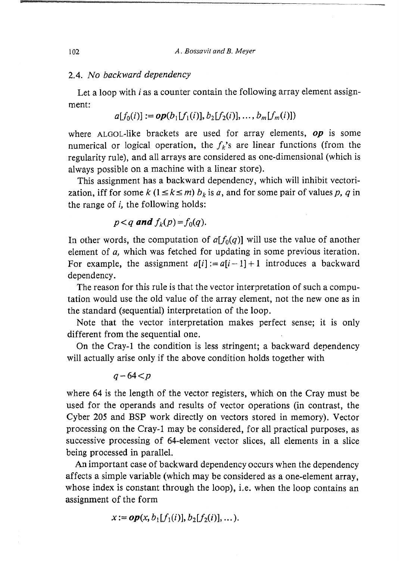#### *2.4. No backward dependency*

Let a loop with *i* as a counter contain the following array element assignment:

$$
a[f_0(i)] := op(b_1[f_1(i)], b_2[f_2(i)], \ldots, b_m[f_m(i)])
$$

where ALGOL-like brackets are used for array elements,  $op$  is some numerical or logical operation, the  $f_k$ 's are linear functions (from the regularity rule), and all arrays are considered as one-dimensional (which is always possible on a machine with a linear store).

This assignment has a backward dependency, which will inhibit vectorization, iff for some  $k$  ( $1 \le k \le m$ )  $b_k$  is a, and for some pair of values p, q in the range of i, the following holds:

## *p*<*q* **and**  $f_k(p) = f_0(q)$ .

In other words, the computation of  $a[f_0(q)]$  will use the value of another element of *a,* which was fetched for updating in some previous iteration. For example, the assignment  $a[i] := a[i-1] + 1$  introduces a backward dependency.

The reason for this rule is that the vector interpretation of such a computation would use the old value of the array element, not the new one as in the standard (sequential) interpretation of the loop.

Note that the vector interpretation makes perfect sense; it is only different from the sequential one.

On the Cray-l the condition is less stringent; a backward dependency will actually arise only if the above condition holds together with

$$
q-64 < p
$$

where 64 is the length of the vector registers, which on the Cray must be used for the operands and results of vector operations (in contrast, the Cyber 205 and BSP work directly on vectors stored in memory). Vector processing on the Cray-l may be considered, for all practical purposes, as successive processing of 64-element vector slices, all elements in a slice being processed in parallel.

An important case of backward dependency occurs when the dependency affects a simple variable (which may be considered as a one-element array, whose index is constant through the loop), i.e. when the loop contains an assignment of the form

$$
x := op(x, b_1[f_1(i)], b_2[f_2(i)], \dots).
$$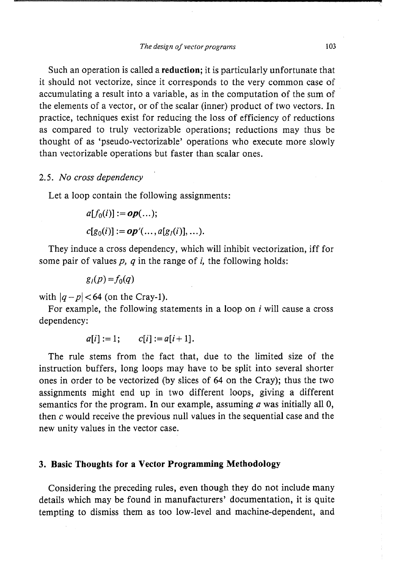Such an operation is called a reduction; it is particularly unfortunate that it should not vectorize, since it corresponds to the very common case of accumulating a result into a variable, as in the computation of the sum of the elements of a vector, or of the scalar (inner) product of two vectors. In practice, techniques exist for reducing the loss of efficiency of reductions as compared to truly vectorizable operations; reductions may thus be thought of as 'pseudo-vectorizable' operations who execute more slowly than vectorizable operations but faster than scalar ones.

#### *2.5. No cross dependency*

Let a loop contain the following assignments:

$$
a[f_0(i)] := op(...);
$$
  
c[g\_0(i)] := op'(..., a[g\_i(i)], ...).

They induce a cross dependency, which will inhibit vectorization, iff for some pair of values *p, q* in the range of i, the following holds:

 $g_1(p) = f_0(q)$ 

with  $|q-p|$  < 64 (on the Cray-1).

For example, the following statements in a loop on *i* will cause a cross dependency:

$$
a[i] := 1;
$$
  $c[i] := a[i+1].$ 

The rule stems from the fact that, due to the limited size of the instruction buffers, long loops may have to be split into several shorter ones in order to be vectorized (by slices of 64 on the Cray); thus the two assignments might end up in two different loops, giving a different semantics for the program. In our example, assuming  $\alpha$  was initially all 0, then c would receive the previous null values in the sequential case and the new unity values in the vector case.

#### 3. Basic Thoughts for a Vector Programming Methodology

Considering the preceding rules, even though they do not include many details which may be found in manufacturers' documentation, it is quite tempting to dismiss them as too low-level and machine-dependent, and A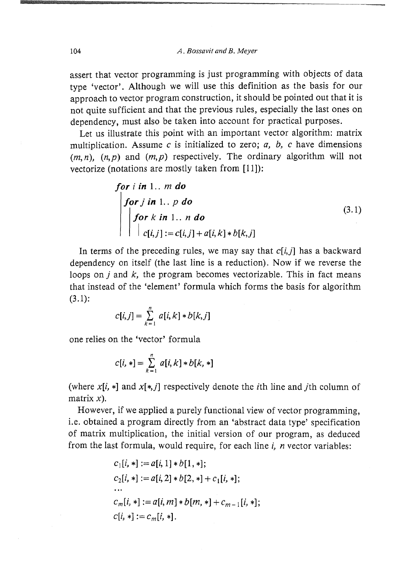104 *A. Bossavit and B. Meyer* 

assert that vector programming is just programming with objects of data type 'vector'. Although we will use this definition as the basis for our approach to vector program construction, it should be pointed out that it is not quite sufficient and that the previous rules, especially the last ones on dependency, must also be taken into account for practical purposes.

Let us illustrate this point with an important vector algorithm: matrix multiplication. Assume c is initialized to zero;  $a, b, c$  have dimensions  $(m, n)$ ,  $(n, p)$  and  $(m, p)$  respectively. The ordinary algorithm will not vectorize (notations are mostly taken from [11]):

for *i* in 1... *m* do  
\nfor *j* in 1... *p* do  
\nfor *k* in 1... *n* do  
\n
$$
\begin{bmatrix}\nfor k in 1.. n do \\
c[i,j]:=c[i,j]+a[i,k]*b[k,j]\n\end{bmatrix}
$$
\n(3.1)

In terms of the preceding rules, we may say that  $c[i,j]$  has a backward dependency on itself (the last line is a reduction). Now if we reverse the loops on  $j$  and  $k$ , the program becomes vectorizable. This in fact means that instead of the 'element' formula which forms the basis for algorithm  $(3.1)$ :

$$
c[i, j] = \sum_{k=1}^{n} a[i, k] * b[k, j]
$$

one relies on the 'vector' formula

$$
c[i, *] = \sum_{k=1}^{n} a[i, k] * b[k, *]
$$

(where  $x[i, *]$  and  $x[*, j]$  respectively denote the *i*th line and *j*th column of matrix  $x$ ).

However, if we applied a purely functional view of vector programming, i.e. obtained a program directly from an 'abstract data type' specification of matrix multiplication, the initial version of our program, as deduced from the last formula, would require, for each line  $i$ ,  $n$  vector variables:

$$
c_1[i, *] := a[i, 1] * b[1, *];
$$
  
\n
$$
c_2[i, *] := a[i, 2] * b[2, *] + c_1[i, *];
$$
  
\n...  
\n
$$
c_m[i, *] := a[i, m] * b[m, *] + c_{m-1}[i, *];
$$
  
\n
$$
c[i, *] := c_m[i, *].
$$

725.·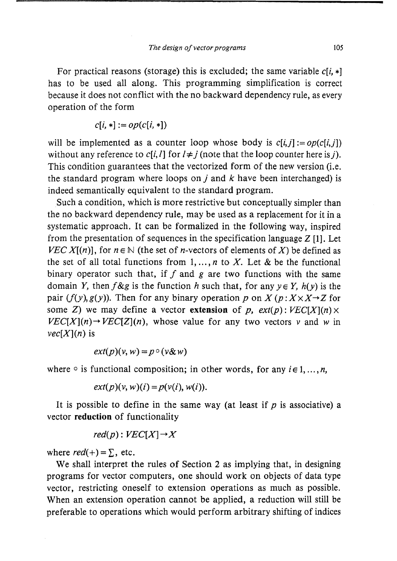For practical reasons (storage) this is excluded; the same variable  $c[i, *]$ has to be used all along. This programming simplification is correct because it does not conflict with the no backward dependency rule, as every operation of the form

$$
c[i, *] := op(c[i, *])
$$

will be implemented as a counter loop whose body is  $c[i, j] := op(c[i, j])$ without any reference to  $c[i, l]$  for  $l \neq j$  (note that the loop counter here is j). This condition guarantees that the vectorized form of the new version (*i.e.*) the standard program where loops on j and  $k$  have been interchanged) is indeed semantically equivalent to the standard program.

Such a condition, which is more restrictive but conceptually simpler than the no backward dependency rule, may be used as a replacement for it in a systematic approach. It can be formalized in the following way, inspired from the presentation of sequences in the specification language Z **[1].** Let VEC X[(n)], for  $n \in \mathbb{N}$  (the set of n-vectors of elements of X) be defined as the set of all total functions from  $1, \ldots, n$  to X. Let & be the functional binary operator such that, if f and g are two functions with the same domain Y, then  $f \& g$  is the function h such that, for any  $y \in Y$ ,  $h(y)$  is the pair  $(f(y), g(y))$ . Then for any binary operation p on X  $(p: X \times X \rightarrow Z$  for some Z) we may define a vector **extension** of p,  $ext(p):$   $VEC[X](n) \times$  $VEC[X](n) \rightarrow VEC[Z](n)$ , whose value for any two vectors v and w in  $vec[X](n)$  is

$$
ext(p)(v, w) = p \circ (v \& w)
$$

where  $\circ$  is functional composition; in other words, for any  $i \in 1, ..., n$ ,

$$
ext(p)(v, w)(i) = p(v(i), w(i)).
$$

It is possible to define in the same way (at least if  $p$  is associative) a vector **reduction** of functionality

$$
red(p): VEC[X] \rightarrow X
$$

where  $red(+) = \sum$ , etc.

We shall interpret the rules of Section 2 as implying that, in designing programs for vector computers, one should work on objects of data type vector, restricting oneself to extension operations as much as possible. When an extension operation cannot be applied, a reduction will still be preferable to operations which would perform arbitrary shifting of indices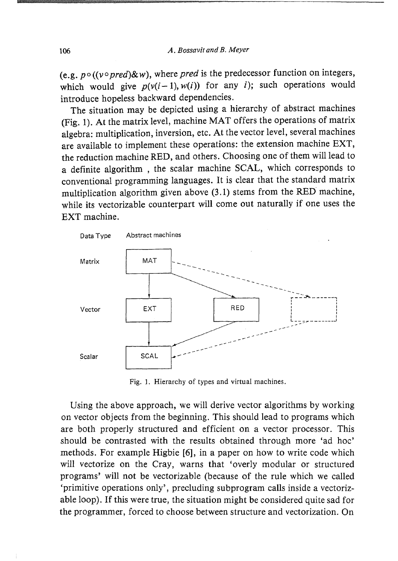(e.g.  $p \circ ((v \circ pred) \& w)$ , where *pred* is the predecessor function on integers, which would give  $p(v(i-1), w(i))$  for any i); such operations would introduce hopeless backward dependencies.

The situation may be depicted using a hierarchy of abstract machines (Fig. 1). At the matrix level, machine MAT offers the operations of matrix algebra: multiplication, inversion, etc. At the vector level, several machines are available to implement these operations: the extension machine EXT, the reduction machine RED, and others. Choosing one of them will lead to a definite algorithm, the scalar machine SCAL, which corresponds to conventional programming languages. It is clear that the standard matrix multiplication algorithm given above (3.1) stems from the RED' machine, while its vectorizable counterpart will come out naturally if one uses the EXT machine.



Fig. 1. Hierarchy of types and virtual machines.

Using the above approach, we will derive vector algorithms by working on vector objects from the beginning. This should lead to programs which are both properly structured and efficient on a vector processor. This should be contrasted with the results obtained through more 'ad hoc' methods. For example Higbie [6], in a paper on how to write code which will vectorize on the Cray, warns that 'overly modular or structured programs' will not be vectorizable (because of the rule which we called 'primitive operations only', precluding subprogram calls inside a vectorizable loop). If this were true, the situation might be considered quite sad for the programmer, forced to choose between structure and vectorization. On

r;<br>;;<br>;<br>;<br>;<br>;<br>;<br>;<br>;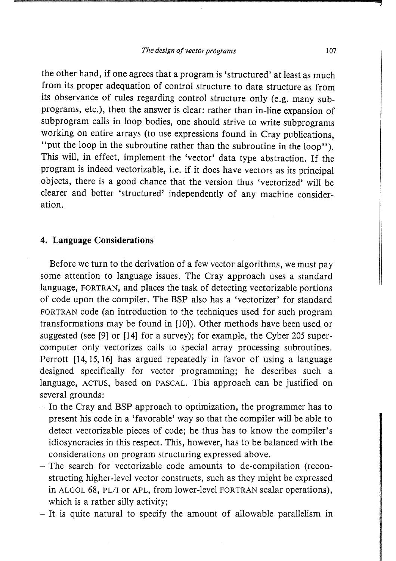the other hand, if one agrees that a program is 'structured' at least as much from its proper adequation of control structure to data structure as from its observance of rules regarding control structure only (e.g. many subprograms, etc.), then the answer is clear: rather than in-line expansion of subprogram calls in loop bodies, one should strive to write subprograms working on entire arrays (to use expressions found in Cray publications, "put the loop in the subroutine rather than the subroutine in the loop"). This will, in effect, implement the 'vector' data type abstraction. If the program is indeed vectorizable, i.e. if it does have vectors as its principal objects, there is a good chance that the version thus 'vectorized' will be clearer and better 'structured' independently of any machine consideration.

### **4. Language Considerations**

Before we turn to the derivation of a few vector algorithms, we must pay some attention to language issues. The Cray approach uses a standard language, FORTRAN, and places the task of detecting vectorizable portions of code upon the compiler. The BSP also has a 'vectorizer' for standard FORTRAN code (an introduction to the techniques used for such program transformations may be found in [10]). Other methods have been used or suggested (see [9] or [14] for a survey); for example, the Cyber 205 supercomputer only vectorizes calls to special array processing subroutines. Perrott [14,15,16] has argued repeatedly in favor of using a language designed specifically for vector programming; he describes such a language, ACTUS, based on PASCAL. This approach can be justified on several grounds:

- In the Cray and BSP approach to optimization, the programmer has to present his code in a 'favorable' way so that the compiler will be able to detect vectorizable pieces of code; he thus has to know the compiler's idiosyncracies in this respect. This, however, has to be balanced with the considerations on program structuring expressed above.
- The search for vectorizable code amounts to de-compilation (reconstructing higher-level vector constructs, such as they might be expressed in ALGOL 68, PL/I or APL, from lower-level FORTRAN scalar operations), which is a rather silly activity;
- It is quite natural to specify the amount of allowable parallelism in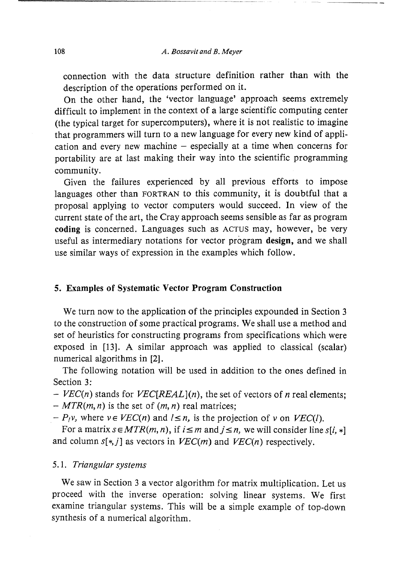connection with the data structure definition rather than with the description of the operations performed on it.

On the other hand, the 'vector language' approach seems extremely difficult to implement in the context of a large scientific computing center (the typical target for supercomputers), where it is not realistic to imagine that programmers will turn to a new language for every new kind of application and every new machine  $-$  especially at a time when concerns for portability are at last making their way into the scientific programming community.

Given the failures experienced by all previous efforts to impose languages other than FORTRAN to this community, it is doubtful that a proposal applying to vector computers would succeed. In view of the current state of the art, the Cray approach seems sensible as far as program coding is concerned. Languages such as ACTUS may, however, be very useful as intermediary notations for vector program design, and we shall use similar ways of expression in the examples which follow.

#### 5. Examples of Systematic Vector Program Construction

We turn now to the application of the principles expounded in Section 3 to the construction of some practical programs. We shall use a method and set of heuristics for constructing programs from specifications which were exposed in [13]. A similar approach was applied to classical (scalar) numerical algorithms in [2].

The following notation will be used in addition to the ones defined in Section 3:

 $-$  *VEC(n)* stands for *VEC*[*REAL*](*n*), the set of vectors of *n* real elements;  $-MTR(m, n)$  is the set of  $(m, n)$  real matrices;

 $-P_1v$ , where  $v \in VEC(n)$  and  $l \leq n$ , is the projection of v on  $VEC(l)$ .

For a matrix  $s \in MTR(m, n)$ , if  $i \leq m$  and  $j \leq n$ , we will consider line  $s[i, *]$ and column  $s[*, j]$  as vectors in  $VEC(m)$  and  $VEC(n)$  respectively.

#### 5.1. Triangular systems

We saw in Section 3 a vector algorithm for matrix multiplication. Let us proceed with the inverse operation: solving linear systems. We first examine triangular systems. This will be a simple example of top-down synthesis of a numerical algorithm.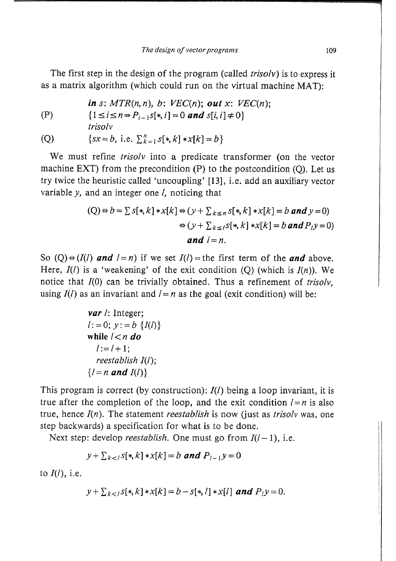The first step in the design of the program (called *trisolv*) is to express it as a matrix algorithm (which could run on the virtual machine MAT):

(P)

\n
$$
\text{in } s \colon MTR(n, n), \ b \colon VEC(n); \ \text{out } x \colon VEC(n);
$$
\n
$$
\{1 \leq i \leq n \Rightarrow P_{i-1}S[*, i] = 0 \ \text{and} \ S[i, i] \neq 0\}
$$

$$
(1 - 1 - 1) \cdot 1 = 0
$$
 and 
$$
S[0,1] \neq 0
$$

(Q) 
$$
\{sx = b, \text{ i.e. }\sum_{k=1}^{n} s[k, k] * x[k] = b\}
$$

We must refine *trisolv* into a predicate transformer (on the vector machine EXT) from the precondition  $(P)$  to the postcondition  $(Q)$ . Let us try twice the heuristic called 'uncoupling' [13], i.e. add an auxiliary vector variable *y*, and an integer one *l*, noticing that

$$
(Q) \Leftrightarrow b = \sum s[*, k] * x[k] \Leftrightarrow (y + \sum_{k \le n} s[*, k] * x[k] = b \text{ and } y = 0)
$$

$$
\Leftrightarrow (y + \sum_{k \le l} s[*, k] * x[k] = b \text{ and } P_{l}y = 0)
$$
  
and  $l = n$ .

So  $(Q) \oplus (I(l)$  and  $l = n$ ) if we set  $I(l) =$  the first term of the and above. Here,  $I(l)$  is a 'weakening' of the exit condition (Q) (which is  $I(n)$ ). We notice that  $I(0)$  can be trivially obtained. Thus a refinement of trisoly, using  $I(l)$  as an invariant and  $l = n$  as the goal (exit condition) will be:

**var** *l*: Integer;  
\n*l* := 0; *y* := *b* {*I*(*l*)}  
\nwhile *l* 
$$
\lt
$$
 *n* **do**  
\n*l* := *l* + 1;  
\n*reestablish I*(*l*);  
\n{*l* = *n* **and I**(*l*)}

This program is correct (by construction): *1(1)* being a loop invariant, it is true after the completion of the loop, and the exit condition  $l = n$  is also true, hence  $I(n)$ . The statement reestablish is now (just as trisoly was, one step backwards) a specification for what is to be done.

Next step: develop *reestablish*. One must go from  $I(l-1)$ , i.e.

$$
y + \sum_{k < l} s[k, k] * x[k] = b \text{ and } P_{l-1}y = 0
$$

to *1(1),* i.e.

$$
y + \sum_{k < l} s[*, k] * x[k] = b - s[*, l] * x[l] \text{ and } P_l y = 0.
$$

1<br>1940 - Paris Louis<br>1940 - Paris Louis II, ann an Aonaich<br>1940 - Paris Louis II, ann an Aonaich<br>1940 - Paris Louis II, ann an Aonaich

I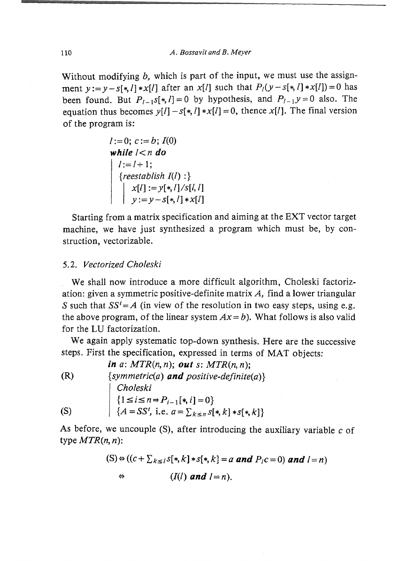Without modifying  $b$ , which is part of the input, we must use the assignment  $y := y - s[*, l]*x[l]$  after an  $x[l]$  such that  $P_l(y - s[*, l]*x[l]) = 0$  has been found. But  $P_{l-1}$ s[\*, *I*] = 0 by hypothesis, and  $P_{l-1}$ y = 0 also. The equation thus becomes  $y[l] - s[*, l]*x[l] = 0$ , thence  $x[l]$ . The final version of the program is:

$$
l := 0; c := b; I(0)
$$
  
\nwhile  $l < n$  do  
\n
$$
\begin{cases}\n l := l + 1; \\
 \{ \text{reestablish } I(l) : \} \\
 x[l] := y[*, l] / s[l, l] \\
 y := y - s[*, l] * x[l]\n\end{cases}
$$

Starting from a matrix specification and aiming at the EXT vector target machine, we have just synthesized a program which must be, by construction, vectorizable.

### *5.2. Vectorized Choleski*

We shall now introduce a more difficult algorithm, Choleski factorization: given a symmetric positive-definite matrix A, find a lower triangular *S* such that  $SS' = A$  (in view of the resolution in two easy steps, using e.g. the above program, of the linear system  $Ax = b$ ). What follows is also valid for the LV factorization.

We again apply systematic top-down synthesis. Here are the successive steps. First the specification, expressed in terms of MAT objects:

*in a: MTR(n, n); out* s: *MTR(n, n);*  (R)  $\{symmetric(a) \text{ and } positive-definite(a)\}\$ *Choleski*   ${1 \le i \le n \Rightarrow P_{i-1}[*, i] = 0}$ (S)  $\{A = SS^t, \text{ i.e. } a = \sum_{k \leq n} s[*, k] * s[*, k]\}$ 

As before, we uncouple  $(S)$ , after introducing the auxiliary variable c of type *MTR(n, n):* 

(S) 
$$
\Leftrightarrow
$$
 ((c +  $\sum_{k \le l} s[x, k] * s[x, k] = a$  and  $P_l c = 0$ ) and  $l = n$ )  
\n $\Leftrightarrow$  (I(l) and  $l = n$ ).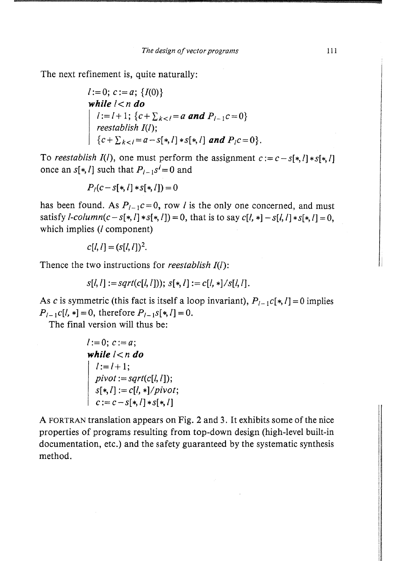The next refinement is, quite naturally:

*l* := 0; *c* := *a*; {*I*(0)}  
\nwhile *l* < *n* **do**  
\n*l* := *l* + 1; {*c* + 
$$
\sum_{k < l} = a
$$
 **and**  $P_{l-1}c = 0$ }  
\n*reestablish I*(*l*);  
\n{*c* +  $\sum_{k < l} = a - s[*,l]*s[*,l]$  **and**  $P_{l}c = 0$ }.

To reestablish  $I(l)$ , one must perform the assignment  $c := c - s[*, l] * s[*, l]$ once an  $s[*, l]$  such that  $P_{l-1}s' = 0$  and

$$
P_{l}(c - s[*, l] * s[*, l]) = 0
$$

has been found. As  $P_{l-1}c = 0$ , row *l* is the only one concerned, and must satisfy *l*-column( $c - s[*, l] * s[*, l] = 0$ , that is to say  $c[l, *]-s[l, l] * s[*, l] = 0$ , which implies (*l* component)

$$
c[l, l] = (s[l, l])^2.
$$

Thence the two instructions for *reestablish*  $I(l)$ :

$$
s[l, l] := sqrt(c[l, l])); s[*, l] := c[l, *]/s[l, l].
$$

As c is symmetric (this fact is itself a loop invariant),  $P_{l-1}c[*,l] = 0$  implies  $P_{l-1} c[l, *]=0$ , therefore  $P_{l-1} s[*, l]=0$ .

The final version will thus be:

*l* := 0; *c* := *a*;  
\nwhile *l* < *n* **do**  
\n*l* := *l* + 1;  
\n
$$
pivot := sqrt(c[l, l]);
$$
\n
$$
s[*, l] := c[l, *]/pivot;
$$
\n
$$
c := c - s[*, l] * s[*, l]
$$

A FORTRAN translation appears on Fig. 2 and 3. It exhibits some of the nice properties of programs resulting from top-down design (high-level built-in documentation, etc.) and the safety guaranteed by the systematic synthesis method.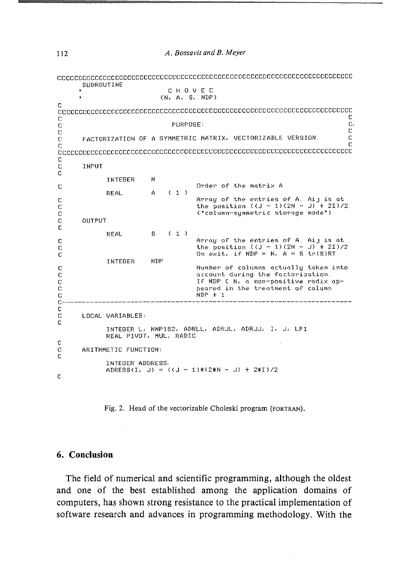|                                                                 | SUBROUTINE                                                                                      |                                                                                                                      |      |                 | CHOVEC<br>(N, A, S, NDF)                                                                                       |
|-----------------------------------------------------------------|-------------------------------------------------------------------------------------------------|----------------------------------------------------------------------------------------------------------------------|------|-----------------|----------------------------------------------------------------------------------------------------------------|
| C                                                               |                                                                                                 |                                                                                                                      |      |                 | conceded conceded conceded conceded conceded conceded conceded conceded conceded conceded conceded conceded co |
| C.                                                              |                                                                                                 |                                                                                                                      |      |                 | C                                                                                                              |
| Ċ                                                               |                                                                                                 |                                                                                                                      |      | <b>FURPOSE:</b> | $\mathbb{C}$                                                                                                   |
| Ċ                                                               |                                                                                                 |                                                                                                                      |      |                 | $\mathbb C$                                                                                                    |
| C                                                               |                                                                                                 |                                                                                                                      |      |                 | $\mathbf C$<br>FACTORIZATION OF A SYMMETRIC MATRIX, VECTORIZABLE VERSION.<br>С                                 |
| c                                                               |                                                                                                 |                                                                                                                      |      |                 |                                                                                                                |
| C.                                                              |                                                                                                 |                                                                                                                      |      |                 |                                                                                                                |
| C                                                               | INFUT                                                                                           |                                                                                                                      |      |                 |                                                                                                                |
| C.                                                              |                                                                                                 |                                                                                                                      |      |                 |                                                                                                                |
| C                                                               |                                                                                                 | INTEGER                                                                                                              | N    |                 | Order of the matrix A                                                                                          |
|                                                                 |                                                                                                 | <b>REAL</b>                                                                                                          | A.   | (1)             |                                                                                                                |
| C                                                               |                                                                                                 |                                                                                                                      |      |                 | Array of the entries of A. Aij is at                                                                           |
| c                                                               |                                                                                                 |                                                                                                                      |      |                 | the position ((J - 1)(2N - J) + 2I)/2.<br>("column-symmetric storage mode")                                    |
| c<br>C                                                          | OUTPUT                                                                                          |                                                                                                                      |      |                 |                                                                                                                |
| C                                                               |                                                                                                 |                                                                                                                      |      |                 |                                                                                                                |
|                                                                 |                                                                                                 | <b>REAL</b>                                                                                                          | S.   | (1)             |                                                                                                                |
| C                                                               |                                                                                                 |                                                                                                                      |      |                 | Array of the entries of A. Aij is at                                                                           |
| C<br>C                                                          |                                                                                                 |                                                                                                                      |      |                 | the position (( $J = 1$ ) (2N = J) + 2I)/2<br>On exit, if NDP = $N$ , $A = S$ tr(S)RT                          |
|                                                                 |                                                                                                 | INTEGER                                                                                                              | NDF. |                 |                                                                                                                |
| Ċ                                                               |                                                                                                 |                                                                                                                      |      |                 | Number of columns actually taken into                                                                          |
| C                                                               |                                                                                                 |                                                                                                                      |      |                 | account during the factorization.                                                                              |
| Ċ                                                               |                                                                                                 |                                                                                                                      |      |                 | If NDP ( N, a non-positive radix ap-<br>peared in the treatment of column                                      |
| C<br>C                                                          |                                                                                                 |                                                                                                                      |      |                 | $NDF + 1$                                                                                                      |
| Ċ                                                               |                                                                                                 | .<br>Litt with mit mas van den was was verk kief van den van twee klip die verk was twee van den den van van van van |      |                 |                                                                                                                |
| C                                                               |                                                                                                 |                                                                                                                      |      |                 |                                                                                                                |
| C<br>C                                                          | LOCAL VARIABLES:<br>INTEGER L. NNP1S2, ADRLL, ADRUL, ADRUU, I, U, LP1<br>REAL PIVOT, MUL, RADIC |                                                                                                                      |      |                 |                                                                                                                |
|                                                                 |                                                                                                 |                                                                                                                      |      |                 |                                                                                                                |
| C<br>C<br>C                                                     | ARITHMETIC FUNCTION:                                                                            |                                                                                                                      |      |                 |                                                                                                                |
| INTEGER ADDRESS<br>ADRESS(I, J) = $((J - 1)*(2*N - J) + 2*1)/2$ |                                                                                                 |                                                                                                                      |      |                 |                                                                                                                |
| C                                                               |                                                                                                 |                                                                                                                      |      |                 |                                                                                                                |

Fig. 2. Head of the vectorizable Choleski program (FORTRAN).

#### **6. Conclusion**

 $\sim$ 

**The field of numerical and scientific programming, although the oldest and one of the best established among the application domains of computers, has shown strong resistance to the practical implementation of software research and advances in programming methodology. With the** 

m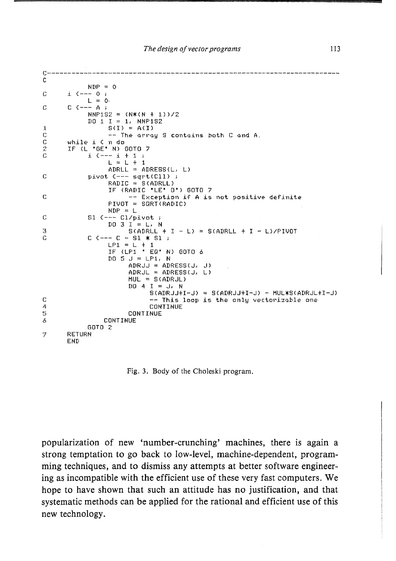```
c-----------------------------------------------------------------------
C 
           NIP = 0C:i. (--- 0 ; 
           L = 0C = C C = - A;
           NNP1S2:::: (N*(N + 1»/2 
           DQ_1 I = 1. NNF1S21 \quad S(I) = A(I)<br>C - The arra
C = -T The array S contains both C and A.<br>C and B is C and C and C and C and A.
C while i \in n do 2 IF (L *GE* N) (
2 IF (L "GE" N) GOTO 7<br>C i (---i + 1 ;
           Ci C--- i + 1 ; 
                L = L + 1AURL = ADRESS(L, L)C pivot C--- sqrt(C11);
                 RADIC = SGADRLL)IF CRADIC "LE" 0") GOTO 7 
r -- Exception if A is not positive definite 
                PIVOT = SQRT(RADIC)
                NDF = LC 81 (--- Cl/pivot ;
                DQ = 3 I = L. N
\begin{array}{lll} 3 & \text{S(ADRLL + I - L)} = \text{S(ADRLL + I - L)/P1VOT} \end{array}C C --- C - S1 * S1 ;
                LPI = L + 1IF CLPl " EQ" N) GOTO 6 
                DO 5 J = LPI, NAPRJJ = ADRESS(J, J)ADRJL = ADRESS(J, L)MUL = S(ADRJL)DQ 4 I = J, N
                           S(AIRJJ+I-J) = S(ADRJJ+I-J) - MUL*S(AIRJL+I-J)C --- This loop is the only vectorizable one<br>CONTINUE
4 CONTINUE<br>5 CONTINUE
5 CONTINUE<br>6 CONTINUE
               CONTINUE
           GOTO 2 
"7 RETURN 
      END
```
Fig. 3. Body of the Choleski program.

**popularization of new 'number-crunching' machines, there is again a strong temptation to go back to low-level, machine-dependent, programming techniques, and to dismiss any attempts at better software engineering as incompatible with the efficient use of these very fast computers. We hope to have shown that such an attitude has no justification, and that systematic methods can be applied for the rational and efficient use of this new technology.**